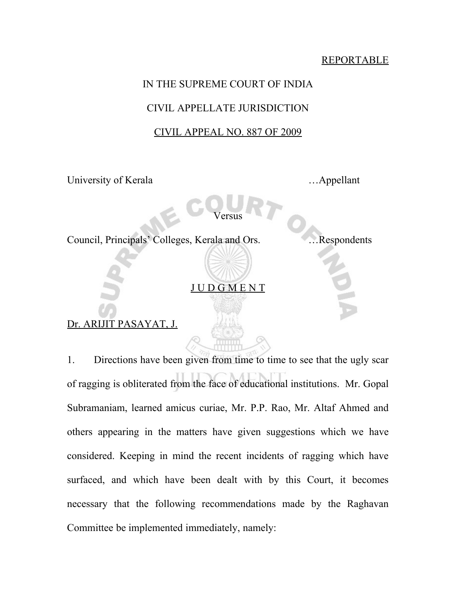## REPORTABLE

## IN THE SUPREME COURT OF INDIA

## CIVIL APPELLATE JURISDICTION

## CIVIL APPEAL NO. 887 OF 2009

University of Kerala …... Appellant

Versus

Council, Principals' Colleges, Kerala and Ors. …Respondents

J U D G M E N T

Dr. ARIJIT PASAYAT, J.

1. Directions have been given from time to time to see that the ugly scar of ragging is obliterated from the face of educational institutions. Mr. Gopal Subramaniam, learned amicus curiae, Mr. P.P. Rao, Mr. Altaf Ahmed and others appearing in the matters have given suggestions which we have considered. Keeping in mind the recent incidents of ragging which have surfaced, and which have been dealt with by this Court, it becomes necessary that the following recommendations made by the Raghavan Committee be implemented immediately, namely: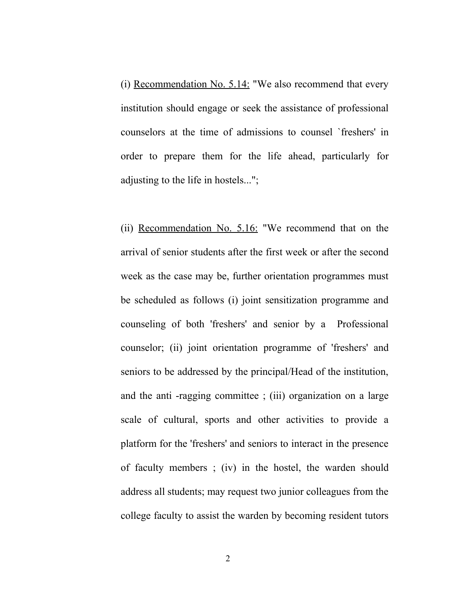(i) Recommendation No. 5.14: "We also recommend that every institution should engage or seek the assistance of professional counselors at the time of admissions to counsel `freshers' in order to prepare them for the life ahead, particularly for adjusting to the life in hostels...";

(ii) Recommendation No. 5.16: "We recommend that on the arrival of senior students after the first week or after the second week as the case may be, further orientation programmes must be scheduled as follows (i) joint sensitization programme and counseling of both 'freshers' and senior by a Professional counselor; (ii) joint orientation programme of 'freshers' and seniors to be addressed by the principal/Head of the institution, and the anti -ragging committee ; (iii) organization on a large scale of cultural, sports and other activities to provide a platform for the 'freshers' and seniors to interact in the presence of faculty members ; (iv) in the hostel, the warden should address all students; may request two junior colleagues from the college faculty to assist the warden by becoming resident tutors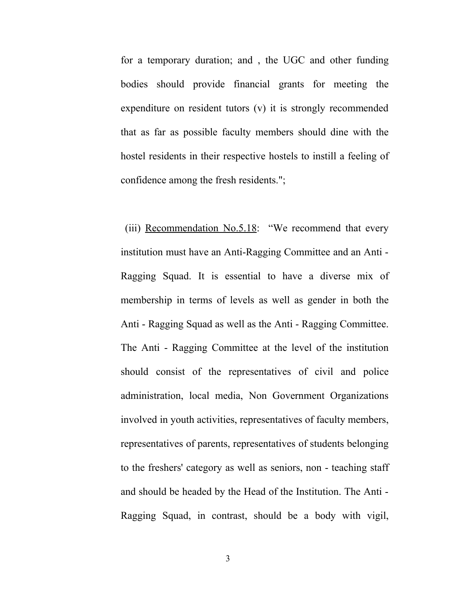for a temporary duration; and , the UGC and other funding bodies should provide financial grants for meeting the expenditure on resident tutors (v) it is strongly recommended that as far as possible faculty members should dine with the hostel residents in their respective hostels to instill a feeling of confidence among the fresh residents.";

(iii) Recommendation No.5.18: "We recommend that every institution must have an Anti-Ragging Committee and an Anti - Ragging Squad. It is essential to have a diverse mix of membership in terms of levels as well as gender in both the Anti - Ragging Squad as well as the Anti - Ragging Committee. The Anti - Ragging Committee at the level of the institution should consist of the representatives of civil and police administration, local media, Non Government Organizations involved in youth activities, representatives of faculty members, representatives of parents, representatives of students belonging to the freshers' category as well as seniors, non - teaching staff and should be headed by the Head of the Institution. The Anti - Ragging Squad, in contrast, should be a body with vigil,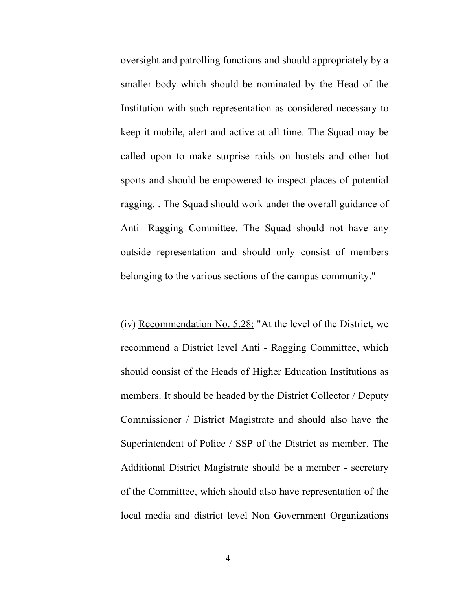oversight and patrolling functions and should appropriately by a smaller body which should be nominated by the Head of the Institution with such representation as considered necessary to keep it mobile, alert and active at all time. The Squad may be called upon to make surprise raids on hostels and other hot sports and should be empowered to inspect places of potential ragging. . The Squad should work under the overall guidance of Anti- Ragging Committee. The Squad should not have any outside representation and should only consist of members belonging to the various sections of the campus community."

(iv) Recommendation No.  $5.28$ : "At the level of the District, we recommend a District level Anti - Ragging Committee, which should consist of the Heads of Higher Education Institutions as members. It should be headed by the District Collector / Deputy Commissioner / District Magistrate and should also have the Superintendent of Police / SSP of the District as member. The Additional District Magistrate should be a member - secretary of the Committee, which should also have representation of the local media and district level Non Government Organizations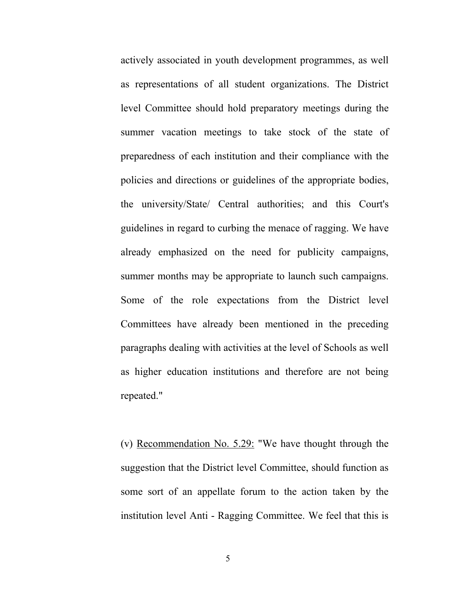actively associated in youth development programmes, as well as representations of all student organizations. The District level Committee should hold preparatory meetings during the summer vacation meetings to take stock of the state of preparedness of each institution and their compliance with the policies and directions or guidelines of the appropriate bodies, the university/State/ Central authorities; and this Court's guidelines in regard to curbing the menace of ragging. We have already emphasized on the need for publicity campaigns, summer months may be appropriate to launch such campaigns. Some of the role expectations from the District level Committees have already been mentioned in the preceding paragraphs dealing with activities at the level of Schools as well as higher education institutions and therefore are not being repeated."

(v) Recommendation No. 5.29: "We have thought through the suggestion that the District level Committee, should function as some sort of an appellate forum to the action taken by the institution level Anti - Ragging Committee. We feel that this is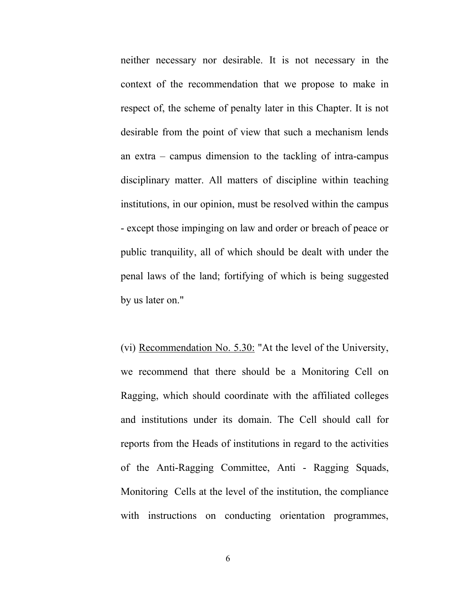neither necessary nor desirable. It is not necessary in the context of the recommendation that we propose to make in respect of, the scheme of penalty later in this Chapter. It is not desirable from the point of view that such a mechanism lends an extra – campus dimension to the tackling of intra-campus disciplinary matter. All matters of discipline within teaching institutions, in our opinion, must be resolved within the campus - except those impinging on law and order or breach of peace or public tranquility, all of which should be dealt with under the penal laws of the land; fortifying of which is being suggested by us later on."

(vi) Recommendation No. 5.30: "At the level of the University, we recommend that there should be a Monitoring Cell on Ragging, which should coordinate with the affiliated colleges and institutions under its domain. The Cell should call for reports from the Heads of institutions in regard to the activities of the Anti-Ragging Committee, Anti - Ragging Squads, Monitoring Cells at the level of the institution, the compliance with instructions on conducting orientation programmes,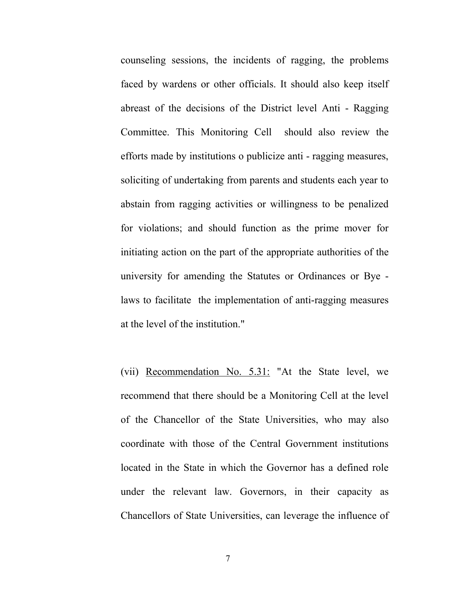counseling sessions, the incidents of ragging, the problems faced by wardens or other officials. It should also keep itself abreast of the decisions of the District level Anti - Ragging Committee. This Monitoring Cell should also review the efforts made by institutions o publicize anti - ragging measures, soliciting of undertaking from parents and students each year to abstain from ragging activities or willingness to be penalized for violations; and should function as the prime mover for initiating action on the part of the appropriate authorities of the university for amending the Statutes or Ordinances or Bye laws to facilitate the implementation of anti-ragging measures at the level of the institution."

(vii) Recommendation No. 5.31: "At the State level, we recommend that there should be a Monitoring Cell at the level of the Chancellor of the State Universities, who may also coordinate with those of the Central Government institutions located in the State in which the Governor has a defined role under the relevant law. Governors, in their capacity as Chancellors of State Universities, can leverage the influence of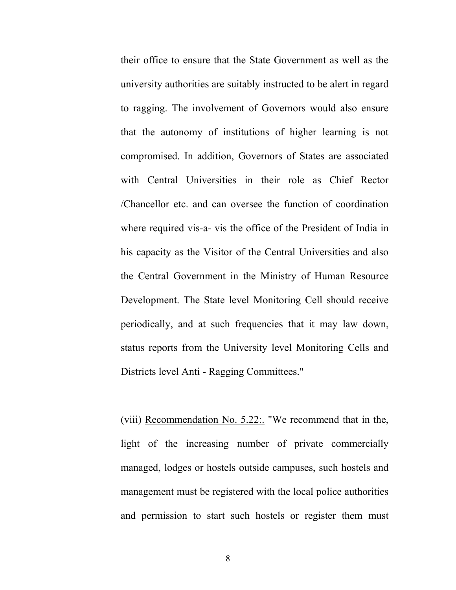their office to ensure that the State Government as well as the university authorities are suitably instructed to be alert in regard to ragging. The involvement of Governors would also ensure that the autonomy of institutions of higher learning is not compromised. In addition, Governors of States are associated with Central Universities in their role as Chief Rector /Chancellor etc. and can oversee the function of coordination where required vis-a- vis the office of the President of India in his capacity as the Visitor of the Central Universities and also the Central Government in the Ministry of Human Resource Development. The State level Monitoring Cell should receive periodically, and at such frequencies that it may law down, status reports from the University level Monitoring Cells and Districts level Anti - Ragging Committees."

(viii) Recommendation No. 5.22:. "We recommend that in the, light of the increasing number of private commercially managed, lodges or hostels outside campuses, such hostels and management must be registered with the local police authorities and permission to start such hostels or register them must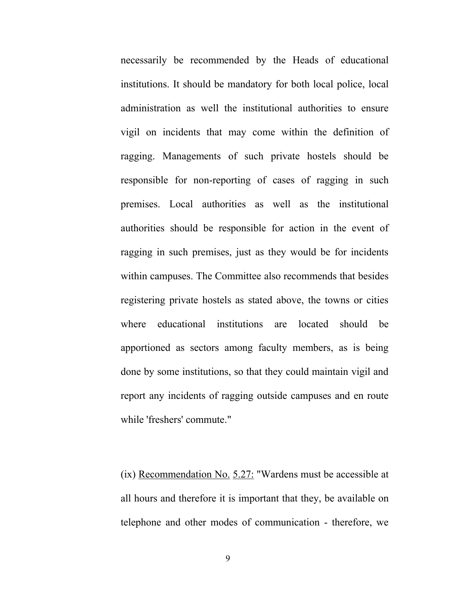necessarily be recommended by the Heads of educational institutions. It should be mandatory for both local police, local administration as well the institutional authorities to ensure vigil on incidents that may come within the definition of ragging. Managements of such private hostels should be responsible for non-reporting of cases of ragging in such premises. Local authorities as well as the institutional authorities should be responsible for action in the event of ragging in such premises, just as they would be for incidents within campuses. The Committee also recommends that besides registering private hostels as stated above, the towns or cities where educational institutions are located should be apportioned as sectors among faculty members, as is being done by some institutions, so that they could maintain vigil and report any incidents of ragging outside campuses and en route while 'freshers' commute."

(ix) Recommendation No.  $5.27$ : "Wardens must be accessible at all hours and therefore it is important that they, be available on telephone and other modes of communication - therefore, we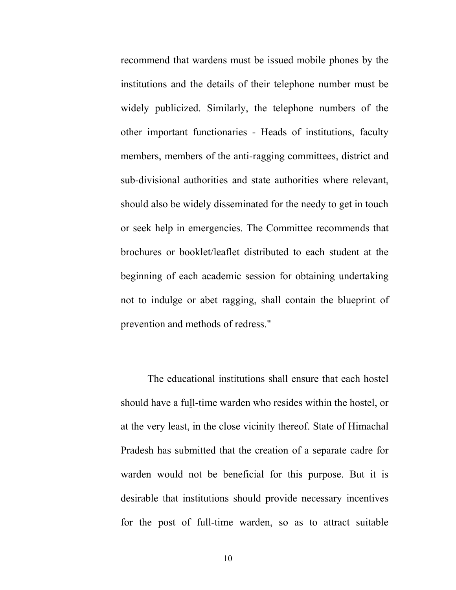recommend that wardens must be issued mobile phones by the institutions and the details of their telephone number must be widely publicized. Similarly, the telephone numbers of the other important functionaries - Heads of institutions, faculty members, members of the anti-ragging committees, district and sub-divisional authorities and state authorities where relevant, should also be widely disseminated for the needy to get in touch or seek help in emergencies. The Committee recommends that brochures or booklet/leaflet distributed to each student at the beginning of each academic session for obtaining undertaking not to indulge or abet ragging, shall contain the blueprint of prevention and methods of redress."

The educational institutions shall ensure that each hostel should have a full-time warden who resides within the hostel, or at the very least, in the close vicinity thereof. State of Himachal Pradesh has submitted that the creation of a separate cadre for warden would not be beneficial for this purpose. But it is desirable that institutions should provide necessary incentives for the post of full-time warden, so as to attract suitable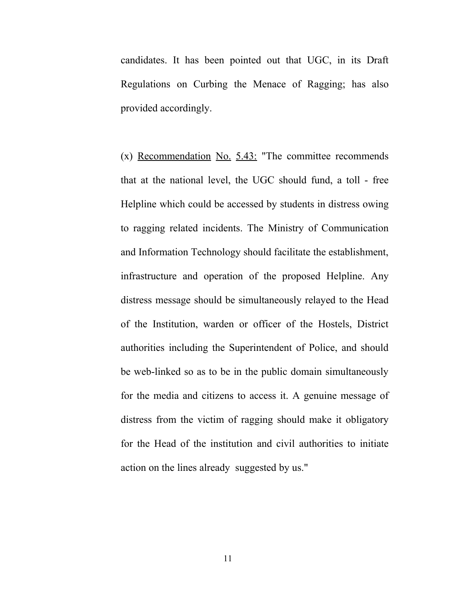candidates. It has been pointed out that UGC, in its Draft Regulations on Curbing the Menace of Ragging; has also provided accordingly.

(x) Recommendation No. 5.43: "The committee recommends that at the national level, the UGC should fund, a toll - free Helpline which could be accessed by students in distress owing to ragging related incidents. The Ministry of Communication and Information Technology should facilitate the establishment, infrastructure and operation of the proposed Helpline. Any distress message should be simultaneously relayed to the Head of the Institution, warden or officer of the Hostels, District authorities including the Superintendent of Police, and should be web-linked so as to be in the public domain simultaneously for the media and citizens to access it. A genuine message of distress from the victim of ragging should make it obligatory for the Head of the institution and civil authorities to initiate action on the lines already suggested by us."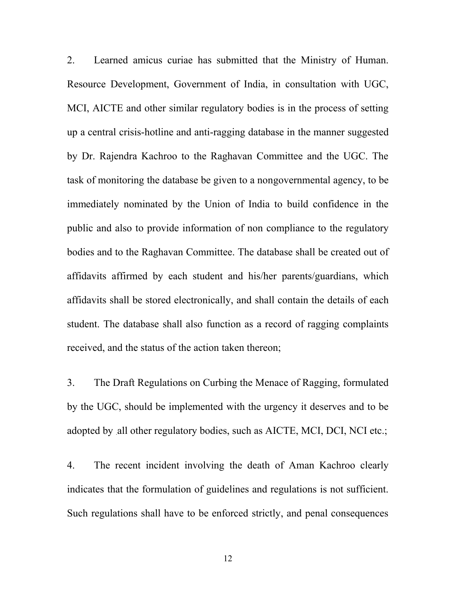2. Learned amicus curiae has submitted that the Ministry of Human. Resource Development, Government of India, in consultation with UGC, MCI, AICTE and other similar regulatory bodies is in the process of setting up a central crisis-hotline and anti-ragging database in the manner suggested by Dr. Rajendra Kachroo to the Raghavan Committee and the UGC. The task of monitoring the database be given to a nongovernmental agency, to be immediately nominated by the Union of India to build confidence in the public and also to provide information of non compliance to the regulatory bodies and to the Raghavan Committee. The database shall be created out of affidavits affirmed by each student and his/her parents/guardians, which affidavits shall be stored electronically, and shall contain the details of each student. The database shall also function as a record of ragging complaints received, and the status of the action taken thereon;

3. The Draft Regulations on Curbing the Menace of Ragging, formulated by the UGC, should be implemented with the urgency it deserves and to be adopted by .all other regulatory bodies, such as AICTE, MCI, DCI, NCI etc.;

4. The recent incident involving the death of Aman Kachroo clearly indicates that the formulation of guidelines and regulations is not sufficient. Such regulations shall have to be enforced strictly, and penal consequences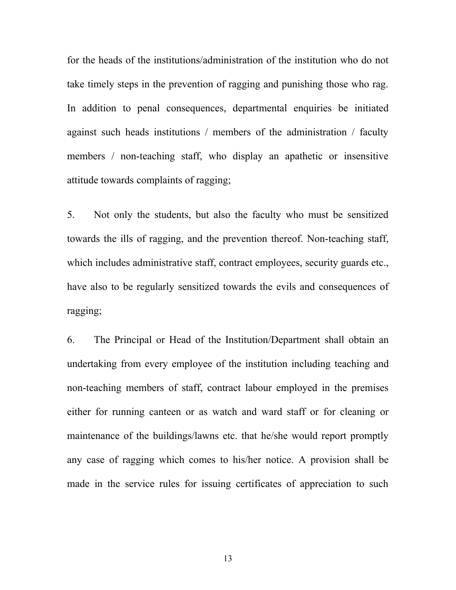for the heads of the institutions/administration of the institution who do not take timely steps in the prevention of ragging and punishing those who rag. In addition to penal consequences, departmental enquiries be initiated against such heads institutions / members of the administration / faculty members / non-teaching staff, who display an apathetic or insensitive attitude towards complaints of ragging;

5. Not only the students, but also the faculty who must be sensitized towards the ills of ragging, and the prevention thereof. Non-teaching staff, which includes administrative staff, contract employees, security guards etc., have also to be regularly sensitized towards the evils and consequences of ragging;

6. The Principal or Head of the Institution/Department shall obtain an undertaking from every employee of the institution including teaching and non-teaching members of staff, contract labour employed in the premises either for running canteen or as watch and ward staff or for cleaning or maintenance of the buildings/lawns etc. that he/she would report promptly any case of ragging which comes to his/her notice. A provision shall be made in the service rules for issuing certificates of appreciation to such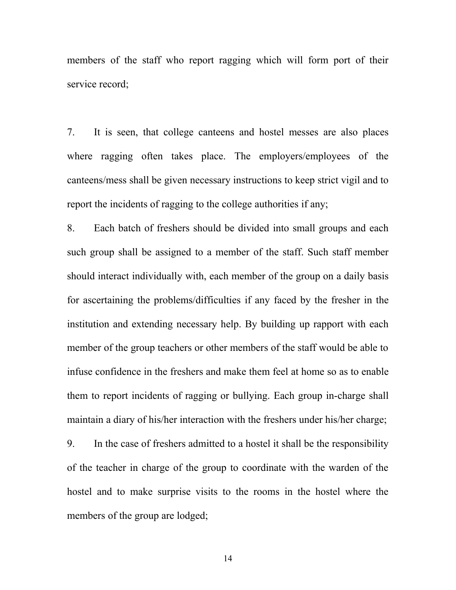members of the staff who report ragging which will form port of their service record;

7. It is seen, that college canteens and hostel messes are also places where ragging often takes place. The employers/employees of the canteens/mess shall be given necessary instructions to keep strict vigil and to report the incidents of ragging to the college authorities if any;

8. Each batch of freshers should be divided into small groups and each such group shall be assigned to a member of the staff. Such staff member should interact individually with, each member of the group on a daily basis for ascertaining the problems/difficulties if any faced by the fresher in the institution and extending necessary help. By building up rapport with each member of the group teachers or other members of the staff would be able to infuse confidence in the freshers and make them feel at home so as to enable them to report incidents of ragging or bullying. Each group in-charge shall maintain a diary of his/her interaction with the freshers under his/her charge;

9. In the case of freshers admitted to a hostel it shall be the responsibility of the teacher in charge of the group to coordinate with the warden of the hostel and to make surprise visits to the rooms in the hostel where the members of the group are lodged;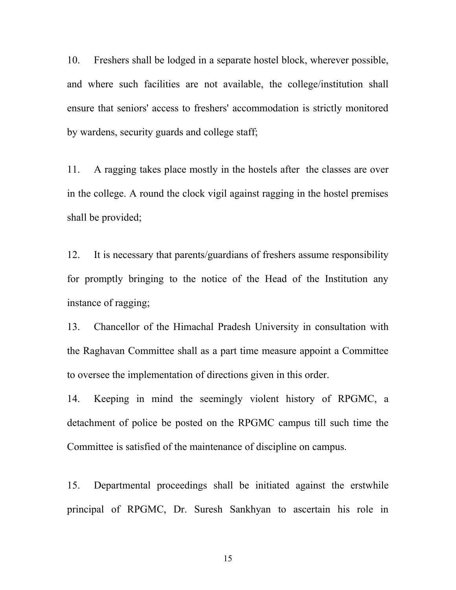10. Freshers shall be lodged in a separate hostel block, wherever possible, and where such facilities are not available, the college/institution shall ensure that seniors' access to freshers' accommodation is strictly monitored by wardens, security guards and college staff;

11. A ragging takes place mostly in the hostels after the classes are over in the college. A round the clock vigil against ragging in the hostel premises shall be provided;

12. It is necessary that parents/guardians of freshers assume responsibility for promptly bringing to the notice of the Head of the Institution any instance of ragging;

13. Chancellor of the Himachal Pradesh University in consultation with the Raghavan Committee shall as a part time measure appoint a Committee to oversee the implementation of directions given in this order.

14. Keeping in mind the seemingly violent history of RPGMC, a detachment of police be posted on the RPGMC campus till such time the Committee is satisfied of the maintenance of discipline on campus.

15. Departmental proceedings shall be initiated against the erstwhile principal of RPGMC, Dr. Suresh Sankhyan to ascertain his role in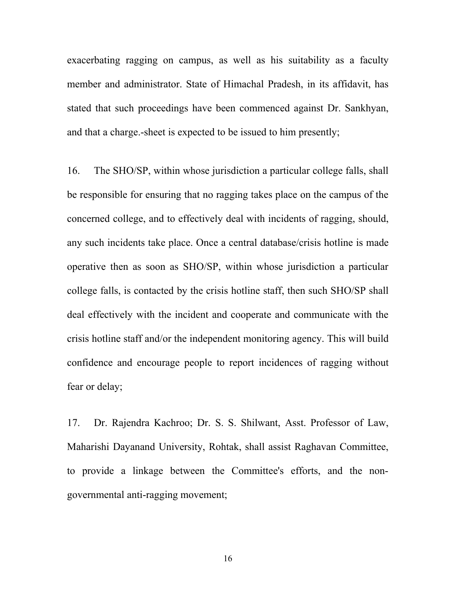exacerbating ragging on campus, as well as his suitability as a faculty member and administrator. State of Himachal Pradesh, in its affidavit, has stated that such proceedings have been commenced against Dr. Sankhyan, and that a charge.-sheet is expected to be issued to him presently;

16. The SHO/SP, within whose jurisdiction a particular college falls, shall be responsible for ensuring that no ragging takes place on the campus of the concerned college, and to effectively deal with incidents of ragging, should, any such incidents take place. Once a central database/crisis hotline is made operative then as soon as SHO/SP, within whose jurisdiction a particular college falls, is contacted by the crisis hotline staff, then such SHO/SP shall deal effectively with the incident and cooperate and communicate with the crisis hotline staff and/or the independent monitoring agency. This will build confidence and encourage people to report incidences of ragging without fear or delay;

17. Dr. Rajendra Kachroo; Dr. S. S. Shilwant, Asst. Professor of Law, Maharishi Dayanand University, Rohtak, shall assist Raghavan Committee, to provide a linkage between the Committee's efforts, and the nongovernmental anti-ragging movement;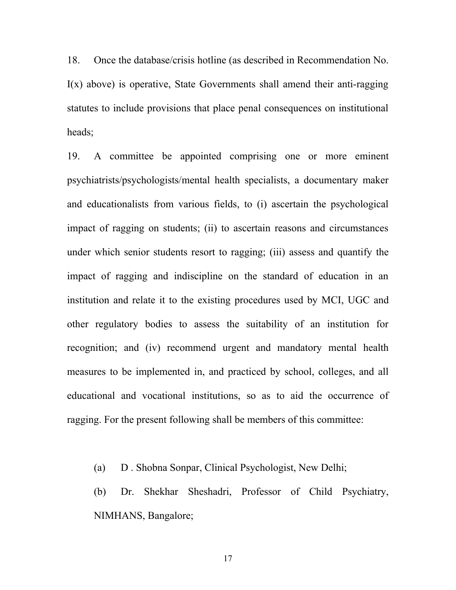18. Once the database/crisis hotline (as described in Recommendation No.  $I(x)$  above) is operative, State Governments shall amend their anti-ragging statutes to include provisions that place penal consequences on institutional heads;

19. A committee be appointed comprising one or more eminent psychiatrists/psychologists/mental health specialists, a documentary maker and educationalists from various fields, to (i) ascertain the psychological impact of ragging on students; (ii) to ascertain reasons and circumstances under which senior students resort to ragging; (iii) assess and quantify the impact of ragging and indiscipline on the standard of education in an institution and relate it to the existing procedures used by MCI, UGC and other regulatory bodies to assess the suitability of an institution for recognition; and (iv) recommend urgent and mandatory mental health measures to be implemented in, and practiced by school, colleges, and all educational and vocational institutions, so as to aid the occurrence of ragging. For the present following shall be members of this committee:

(a) D . Shobna Sonpar, Clinical Psychologist, New Delhi;

(b) Dr. Shekhar Sheshadri, Professor of Child Psychiatry, NIMHANS, Bangalore;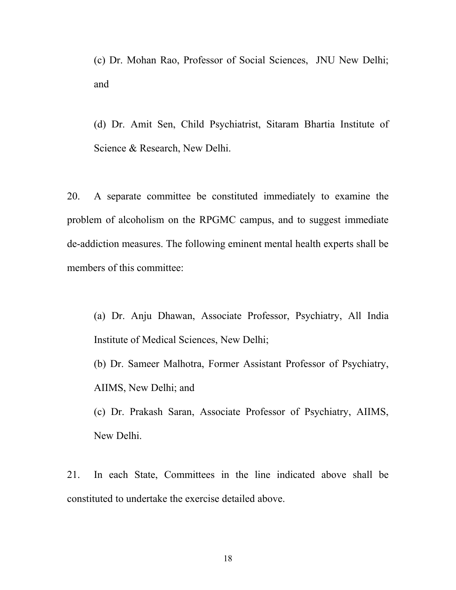(c) Dr. Mohan Rao, Professor of Social Sciences, JNU New Delhi; and

(d) Dr. Amit Sen, Child Psychiatrist, Sitaram Bhartia Institute of Science & Research, New Delhi.

20. A separate committee be constituted immediately to examine the problem of alcoholism on the RPGMC campus, and to suggest immediate de-addiction measures. The following eminent mental health experts shall be members of this committee:

(a) Dr. Anju Dhawan, Associate Professor, Psychiatry, All India Institute of Medical Sciences, New Delhi;

(b) Dr. Sameer Malhotra, Former Assistant Professor of Psychiatry, AIIMS, New Delhi; and

(c) Dr. Prakash Saran, Associate Professor of Psychiatry, AIIMS, New Delhi.

21. In each State, Committees in the line indicated above shall be constituted to undertake the exercise detailed above.